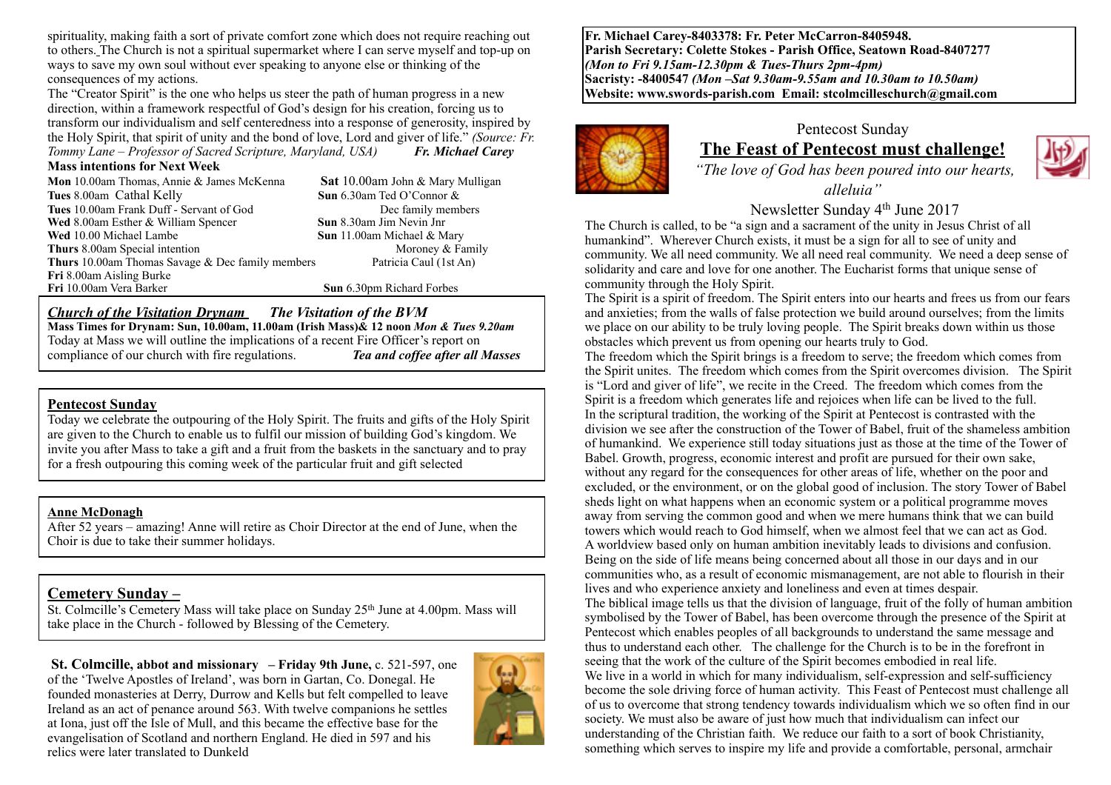spirituality, making faith a sort of private comfort zone which does not require reaching out to others. The Church is not a spiritual supermarket where I can serve myself and top-up on ways to save my own soul without ever speaking to anyone else or thinking of the consequences of my actions.

The "Creator Spirit" is the one who helps us steer the path of human progress in a new direction, within a framework respectful of God's design for his creation, forcing us to transform our individualism and self centeredness into a response of generosity, inspired by the Holy Spirit, that spirit of unity and the bond of love, Lord and giver of life." *(Source: Fr. Tommy Lane – Professor of Sacred Scripture, Maryland, USA) Fr. Michael Carey*

#### **Mass intentions for Next Week**

**Mon** 10.00am Thomas, Annie & James McKenna **Sat** 10.00am John & Mary Mulligan **Tues** 8.00am Cathal Kelly **Sun** 6.30am Ted O'Connor & **Tues** 10.00am Frank Duff - Servant of God Dec family members **Wed** 8.00am Esther & William Spencer **Sun** 8.30am Jim Nevin Jnr **Wed** 10.00 Michael Lambe **Sun** 11.00am Michael & Mary **Thurs** 8.00am Special intention Moroney & Family **Thurs** 10.00am Thomas Savage & Dec family members Patricia Caul (1st An) **Fri** 8.00am Aisling Burke **Fri** 10.00am Vera Barker **Sun** 6.30pm Richard Forbes

### *Church of the Visitation Drynam**The Visitation of the BVM*

**Mass Times for Drynam: Sun, 10.00am, 11.00am (Irish Mass)& 12 noon** *Mon & Tues 9.20am* Today at Mass we will outline the implications of a recent Fire Officer's report on compliance of our church with fire regulations. *Tea and coffee after all Masses*

### **Pentecost Sunday**

Today we celebrate the outpouring of the Holy Spirit. The fruits and gifts of the Holy Spirit are given to the Church to enable us to fulfil our mission of building God's kingdom. We invite you after Mass to take a gift and a fruit from the baskets in the sanctuary and to pray for a fresh outpouring this coming week of the particular fruit and gift selected

### **Anne McDonagh**

After 52 years – amazing! Anne will retire as Choir Director at the end of June, when the Choir is due to take their summer holidays.

## **Cemetery Sunday –**

St. Colmcille's Cemetery Mass will take place on Sunday 25<sup>th</sup> June at 4.00pm. Mass will take place in the Church - followed by Blessing of the Cemetery.

**St. Colmcille, abbot and missionary – Friday 9th June, c. 521-597, one** of the 'Twelve Apostles of Ireland', was born in Gartan, Co. Donegal. He founded monasteries at Derry, Durrow and Kells but felt compelled to leave Ireland as an act of penance around 563. With twelve companions he settles at Iona, just off the Isle of Mull, and this became the effective base for the evangelisation of Scotland and northern England. He died in 597 and his relics were later translated to Dunkeld



**Fr. Michael Carey-8403378: Fr. Peter McCarron-8405948. Parish Secretary: Colette Stokes - Parish Office, Seatown Road-8407277**  *(Mon to Fri 9.15am-12.30pm & Tues-Thurs 2pm-4pm)*  **Sacristy: -8400547** *(Mon –Sat 9.30am-9.55am and 10.30am to 10.50am)* **Website: [www.swords-parish.com Email:](http://www.swords-parish.com%20%20email) stcolmcilleschurch@gmail.com**



## Pentecost Sunday **The Feast of Pentecost must challenge!**



 *"The love of God has been poured into our hearts, alleluia"* 

Newsletter Sunday 4th June 2017

The Church is called, to be "a sign and a sacrament of the unity in Jesus Christ of all humankind". Wherever Church exists, it must be a sign for all to see of unity and community. We all need community. We all need real community. We need a deep sense of solidarity and care and love for one another. The Eucharist forms that unique sense of community through the Holy Spirit.

The Spirit is a spirit of freedom. The Spirit enters into our hearts and frees us from our fears and anxieties; from the walls of false protection we build around ourselves; from the limits we place on our ability to be truly loving people. The Spirit breaks down within us those obstacles which prevent us from opening our hearts truly to God.

The freedom which the Spirit brings is a freedom to serve; the freedom which comes from the Spirit unites. The freedom which comes from the Spirit overcomes division. The Spirit is "Lord and giver of life", we recite in the Creed. The freedom which comes from the Spirit is a freedom which generates life and rejoices when life can be lived to the full. In the scriptural tradition, the working of the Spirit at Pentecost is contrasted with the division we see after the construction of the Tower of Babel, fruit of the shameless ambition of humankind. We experience still today situations just as those at the time of the Tower of Babel. Growth, progress, economic interest and profit are pursued for their own sake, without any regard for the consequences for other areas of life, whether on the poor and excluded, or the environment, or on the global good of inclusion. The story Tower of Babel sheds light on what happens when an economic system or a political programme moves away from serving the common good and when we mere humans think that we can build towers which would reach to God himself, when we almost feel that we can act as God. A worldview based only on human ambition inevitably leads to divisions and confusion. Being on the side of life means being concerned about all those in our days and in our communities who, as a result of economic mismanagement, are not able to flourish in their lives and who experience anxiety and loneliness and even at times despair. The biblical image tells us that the division of language, fruit of the folly of human ambition symbolised by the Tower of Babel, has been overcome through the presence of the Spirit at Pentecost which enables peoples of all backgrounds to understand the same message and thus to understand each other. The challenge for the Church is to be in the forefront in seeing that the work of the culture of the Spirit becomes embodied in real life. We live in a world in which for many individualism, self-expression and self-sufficiency become the sole driving force of human activity. This Feast of Pentecost must challenge all of us to overcome that strong tendency towards individualism which we so often find in our society. We must also be aware of just how much that individualism can infect our understanding of the Christian faith. We reduce our faith to a sort of book Christianity, something which serves to inspire my life and provide a comfortable, personal, armchair